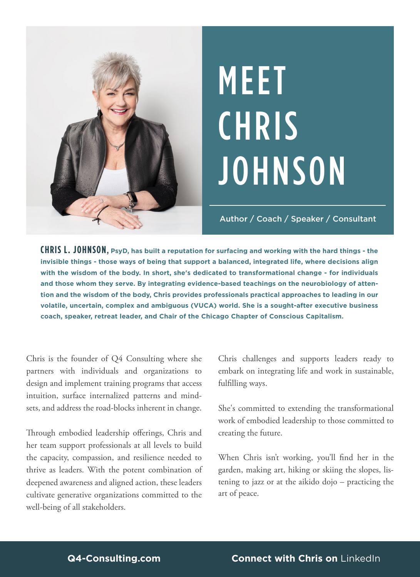

# MEET **CHRIS JOHNSON**

Author / Coach / Speaker / Consultant

**CHRIS L. JOHNSON, PsyD, has built a reputation for surfacing and working with the hard things - the invisible things - those ways of being that support a balanced, integrated life, where decisions align with the wisdom of the body. In short, she's dedicated to transformational change - for individuals and those whom they serve. By integrating evidence-based teachings on the neurobiology of attention and the wisdom of the body, Chris provides professionals practical approaches to leading in our volatile, uncertain, complex and ambiguous (VUCA) world. She is a sought-after executive business coach, speaker, retreat leader, and Chair of the Chicago Chapter of Conscious Capitalism.**

Chris is the founder of Q4 Consulting where she partners with individuals and organizations to design and implement training programs that access intuition, surface internalized patterns and mindsets, and address the road-blocks inherent in change.

Through embodied leadership offerings, Chris and her team support professionals at all levels to build the capacity, compassion, and resilience needed to thrive as leaders. With the potent combination of deepened awareness and aligned action, these leaders cultivate generative organizations committed to the well-being of all stakeholders.

Chris challenges and supports leaders ready to embark on integrating life and work in sustainable, fulfilling ways.

She's committed to extending the transformational work of embodied leadership to those committed to creating the future.

When Chris isn't working, you'll find her in the garden, making art, hiking or skiing the slopes, listening to jazz or at the aikido dojo – practicing the art of peace.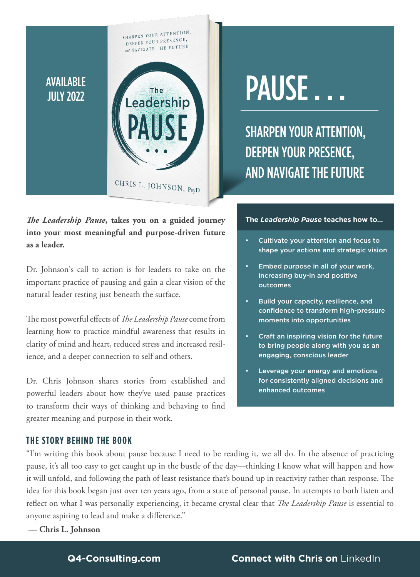## AVAILABLE JULY 2022



SHARPEN YOUR ATTENTION,

*The Leadership Pause***, takes you on a guided journey into your most meaningful and purpose-driven future as a leader.**

Dr. Johnson's call to action is for leaders to take on the important practice of pausing and gain a clear vision of the natural leader resting just beneath the surface.

The most powerful effects of *The Leadership Pause* come from learning how to practice mindful awareness that results in clarity of mind and heart, reduced stress and increased resilience, and a deeper connection to self and others.

Dr. Chris Johnson shares stories from established and powerful leaders about how they've used pause practices to transform their ways of thinking and behaving to find greater meaning and purpose in their work.

## **THE STORY BEHIND THE BOOK**

"I'm writing this book about pause because I need to be reading it, we all do. In the absence of practicing pause, it's all too easy to get caught up in the bustle of the day—thinking I know what will happen and how it will unfold, and following the path of least resistance that's bound up in reactivity rather than response. The idea for this book began just over ten years ago, from a state of personal pause. In attempts to both listen and reflect on what I was personally experiencing, it became crystal clear that *The Leadership Pause* is essential to anyone aspiring to lead and make a difference."

**— Chris L. Johnson**

## PAUSE ...

SHARPEN YOUR ATTENTION, DEEPEN YOUR PRESENCE, AND NAVIGATE THE FUTURE

### **The** *Leadership Pause* **teaches how to…**

- Cultivate your attention and focus to shape your actions and strategic vision
- Embed purpose in all of your work, increasing buy-in and positive outcomes
- Build your capacity, resilience, and confidence to transform high-pressure moments into opportunities
- Craft an inspiring vision for the future to bring people along with you as an engaging, conscious leader
- Leverage your energy and emotions for consistently aligned decisions and enhanced outcomes

## **[Q4-Consulting.com](http://q4-consulting.com) [Connect with Chris on](https://www.linkedin.com/in/drchrisljohnson/)** LinkedIn